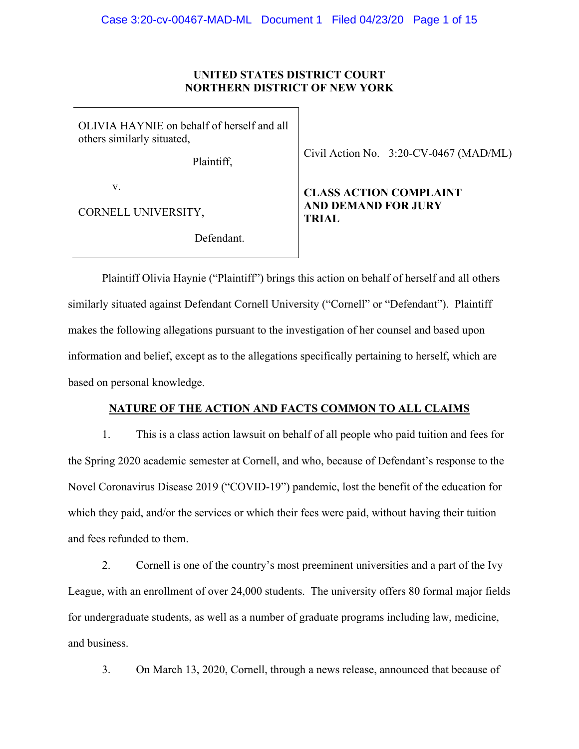## **UNITED STATES DISTRICT COURT NORTHERN DISTRICT OF NEW YORK**

OLIVIA HAYNIE on behalf of herself and all others similarly situated,

Plaintiff,

Civil Action No. 3:20-CV-0467 (MAD/ML)

v.

CORNELL UNIVERSITY,

Defendant.

# **CLASS ACTION COMPLAINT AND DEMAND FOR JURY TRIAL**

Plaintiff Olivia Haynie ("Plaintiff") brings this action on behalf of herself and all others similarly situated against Defendant Cornell University ("Cornell" or "Defendant"). Plaintiff makes the following allegations pursuant to the investigation of her counsel and based upon information and belief, except as to the allegations specifically pertaining to herself, which are based on personal knowledge.

## **NATURE OF THE ACTION AND FACTS COMMON TO ALL CLAIMS**

1. This is a class action lawsuit on behalf of all people who paid tuition and fees for the Spring 2020 academic semester at Cornell, and who, because of Defendant's response to the Novel Coronavirus Disease 2019 ("COVID-19") pandemic, lost the benefit of the education for which they paid, and/or the services or which their fees were paid, without having their tuition and fees refunded to them.

2. Cornell is one of the country's most preeminent universities and a part of the Ivy League, with an enrollment of over 24,000 students. The university offers 80 formal major fields for undergraduate students, as well as a number of graduate programs including law, medicine, and business.

3. On March 13, 2020, Cornell, through a news release, announced that because of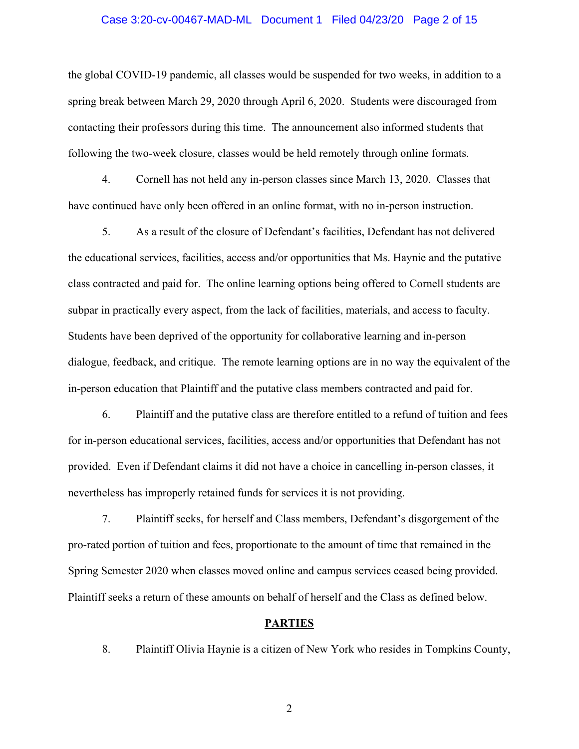#### Case 3:20-cv-00467-MAD-ML Document 1 Filed 04/23/20 Page 2 of 15

the global COVID-19 pandemic, all classes would be suspended for two weeks, in addition to a spring break between March 29, 2020 through April 6, 2020. Students were discouraged from contacting their professors during this time. The announcement also informed students that following the two-week closure, classes would be held remotely through online formats.

4. Cornell has not held any in-person classes since March 13, 2020. Classes that have continued have only been offered in an online format, with no in-person instruction.

5. As a result of the closure of Defendant's facilities, Defendant has not delivered the educational services, facilities, access and/or opportunities that Ms. Haynie and the putative class contracted and paid for. The online learning options being offered to Cornell students are subpar in practically every aspect, from the lack of facilities, materials, and access to faculty. Students have been deprived of the opportunity for collaborative learning and in-person dialogue, feedback, and critique. The remote learning options are in no way the equivalent of the in-person education that Plaintiff and the putative class members contracted and paid for.

6. Plaintiff and the putative class are therefore entitled to a refund of tuition and fees for in-person educational services, facilities, access and/or opportunities that Defendant has not provided. Even if Defendant claims it did not have a choice in cancelling in-person classes, it nevertheless has improperly retained funds for services it is not providing.

7. Plaintiff seeks, for herself and Class members, Defendant's disgorgement of the pro-rated portion of tuition and fees, proportionate to the amount of time that remained in the Spring Semester 2020 when classes moved online and campus services ceased being provided. Plaintiff seeks a return of these amounts on behalf of herself and the Class as defined below.

## **PARTIES**

8. Plaintiff Olivia Haynie is a citizen of New York who resides in Tompkins County,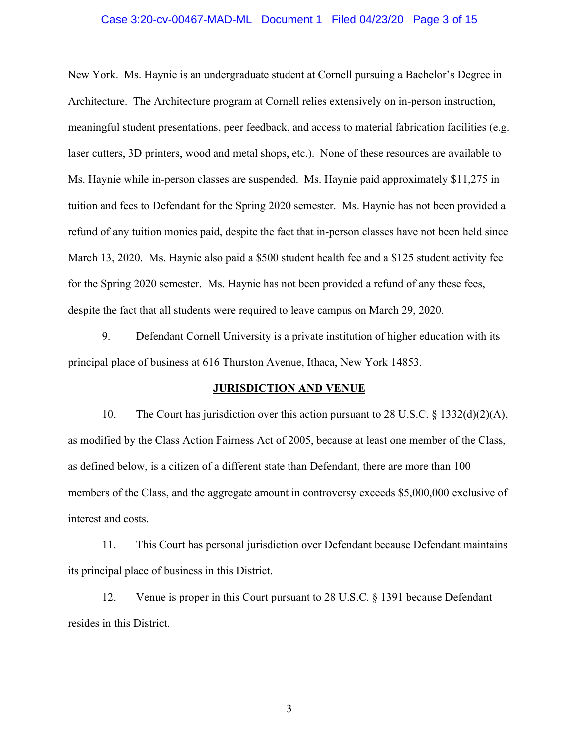# Case 3:20-cv-00467-MAD-ML Document 1 Filed 04/23/20 Page 3 of 15

New York. Ms. Haynie is an undergraduate student at Cornell pursuing a Bachelor's Degree in Architecture. The Architecture program at Cornell relies extensively on in-person instruction, meaningful student presentations, peer feedback, and access to material fabrication facilities (e.g. laser cutters, 3D printers, wood and metal shops, etc.). None of these resources are available to Ms. Haynie while in-person classes are suspended. Ms. Haynie paid approximately \$11,275 in tuition and fees to Defendant for the Spring 2020 semester. Ms. Haynie has not been provided a refund of any tuition monies paid, despite the fact that in-person classes have not been held since March 13, 2020. Ms. Haynie also paid a \$500 student health fee and a \$125 student activity fee for the Spring 2020 semester. Ms. Haynie has not been provided a refund of any these fees, despite the fact that all students were required to leave campus on March 29, 2020.

9. Defendant Cornell University is a private institution of higher education with its principal place of business at 616 Thurston Avenue, Ithaca, New York 14853.

## **JURISDICTION AND VENUE**

10. The Court has jurisdiction over this action pursuant to 28 U.S.C. § 1332(d)(2)(A), as modified by the Class Action Fairness Act of 2005, because at least one member of the Class, as defined below, is a citizen of a different state than Defendant, there are more than 100 members of the Class, and the aggregate amount in controversy exceeds \$5,000,000 exclusive of interest and costs.

11. This Court has personal jurisdiction over Defendant because Defendant maintains its principal place of business in this District.

12. Venue is proper in this Court pursuant to 28 U.S.C. § 1391 because Defendant resides in this District.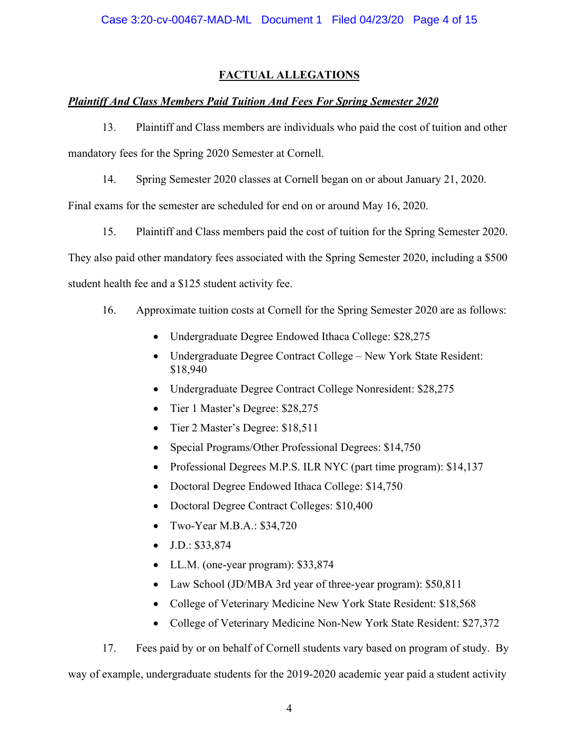# **FACTUAL ALLEGATIONS**

# *Plaintiff And Class Members Paid Tuition And Fees For Spring Semester 2020*

13. Plaintiff and Class members are individuals who paid the cost of tuition and other mandatory fees for the Spring 2020 Semester at Cornell.

14. Spring Semester 2020 classes at Cornell began on or about January 21, 2020.

Final exams for the semester are scheduled for end on or around May 16, 2020.

15. Plaintiff and Class members paid the cost of tuition for the Spring Semester 2020.

They also paid other mandatory fees associated with the Spring Semester 2020, including a \$500

student health fee and a \$125 student activity fee.

- 16. Approximate tuition costs at Cornell for the Spring Semester 2020 are as follows:
	- Undergraduate Degree Endowed Ithaca College: \$28,275
	- Undergraduate Degree Contract College New York State Resident: \$18,940
	- Undergraduate Degree Contract College Nonresident: \$28,275
	- Tier 1 Master's Degree: \$28,275
	- Tier 2 Master's Degree: \$18,511
	- Special Programs/Other Professional Degrees: \$14,750
	- Professional Degrees M.P.S. ILR NYC (part time program): \$14,137
	- Doctoral Degree Endowed Ithaca College: \$14,750
	- Doctoral Degree Contract Colleges: \$10,400
	- Two-Year M.B.A.: \$34,720
	- J.D.: \$33,874
	- LL.M. (one-year program): \$33,874
	- Law School (JD/MBA 3rd year of three-year program): \$50,811
	- College of Veterinary Medicine New York State Resident: \$18,568
	- College of Veterinary Medicine Non-New York State Resident: \$27,372

17. Fees paid by or on behalf of Cornell students vary based on program of study. By

way of example, undergraduate students for the 2019-2020 academic year paid a student activity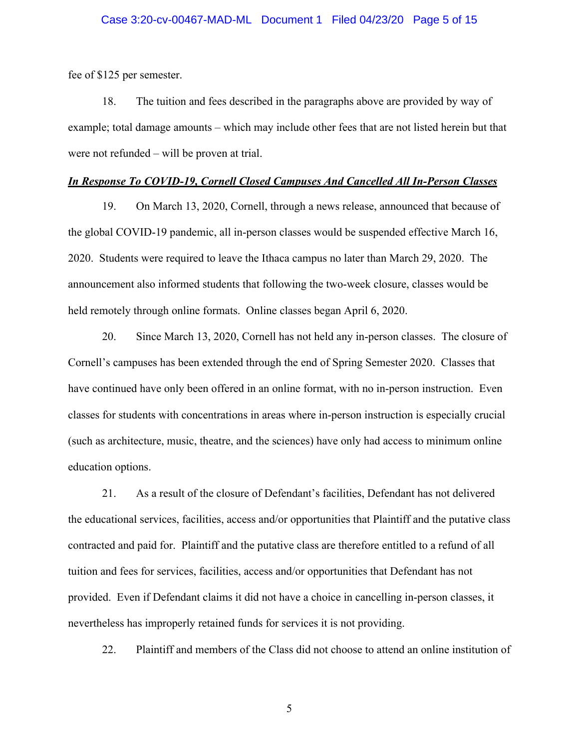fee of \$125 per semester.

18. The tuition and fees described in the paragraphs above are provided by way of example; total damage amounts – which may include other fees that are not listed herein but that were not refunded – will be proven at trial.

#### *In Response To COVID-19, Cornell Closed Campuses And Cancelled All In-Person Classes*

19. On March 13, 2020, Cornell, through a news release, announced that because of the global COVID-19 pandemic, all in-person classes would be suspended effective March 16, 2020. Students were required to leave the Ithaca campus no later than March 29, 2020. The announcement also informed students that following the two-week closure, classes would be held remotely through online formats. Online classes began April 6, 2020.

20. Since March 13, 2020, Cornell has not held any in-person classes. The closure of Cornell's campuses has been extended through the end of Spring Semester 2020. Classes that have continued have only been offered in an online format, with no in-person instruction. Even classes for students with concentrations in areas where in-person instruction is especially crucial (such as architecture, music, theatre, and the sciences) have only had access to minimum online education options.

21. As a result of the closure of Defendant's facilities, Defendant has not delivered the educational services, facilities, access and/or opportunities that Plaintiff and the putative class contracted and paid for. Plaintiff and the putative class are therefore entitled to a refund of all tuition and fees for services, facilities, access and/or opportunities that Defendant has not provided. Even if Defendant claims it did not have a choice in cancelling in-person classes, it nevertheless has improperly retained funds for services it is not providing.

22. Plaintiff and members of the Class did not choose to attend an online institution of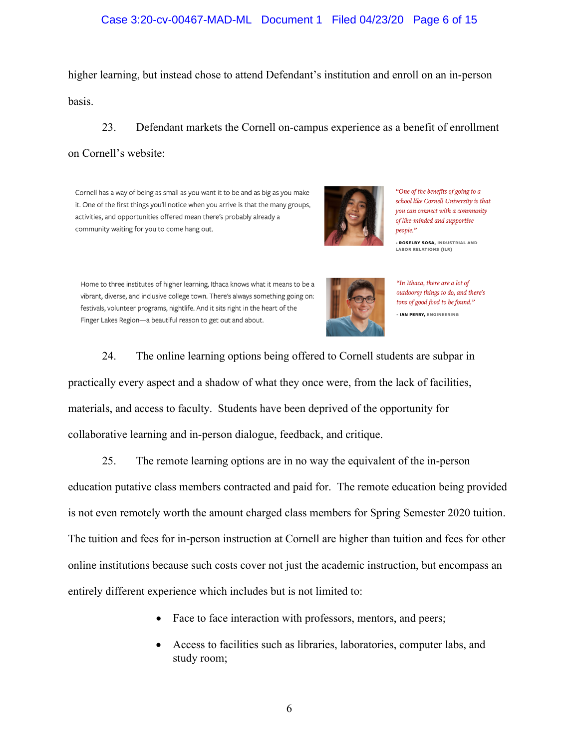## Case 3:20-cv-00467-MAD-ML Document 1 Filed 04/23/20 Page 6 of 15

higher learning, but instead chose to attend Defendant's institution and enroll on an in-person basis.

23. Defendant markets the Cornell on-campus experience as a benefit of enrollment on Cornell's website:

Cornell has a way of being as small as you want it to be and as big as you make it. One of the first things you'll notice when you arrive is that the many groups, activities, and opportunities offered mean there's probably already a community waiting for you to come hang out.



"One of the benefits of going to a school like Cornell University is that you can connect with a community of like-minded and supportive people."

- ROSELBY SOSA, INDUSTRIAL AND **LABOR RELATIONS (ILR)** 

Home to three institutes of higher learning, Ithaca knows what it means to be a vibrant, diverse, and inclusive college town. There's always something going on: festivals, volunteer programs, nightlife. And it sits right in the heart of the Finger Lakes Region-a beautiful reason to get out and about.



"In Ithaca, there are a lot of outdoorsy things to do, and there's tons of good food to be found." - IAN PERRY, ENGINEERING

24. The online learning options being offered to Cornell students are subpar in practically every aspect and a shadow of what they once were, from the lack of facilities, materials, and access to faculty. Students have been deprived of the opportunity for collaborative learning and in-person dialogue, feedback, and critique.

25. The remote learning options are in no way the equivalent of the in-person

education putative class members contracted and paid for. The remote education being provided is not even remotely worth the amount charged class members for Spring Semester 2020 tuition. The tuition and fees for in-person instruction at Cornell are higher than tuition and fees for other online institutions because such costs cover not just the academic instruction, but encompass an entirely different experience which includes but is not limited to:

- Face to face interaction with professors, mentors, and peers;
- Access to facilities such as libraries, laboratories, computer labs, and study room;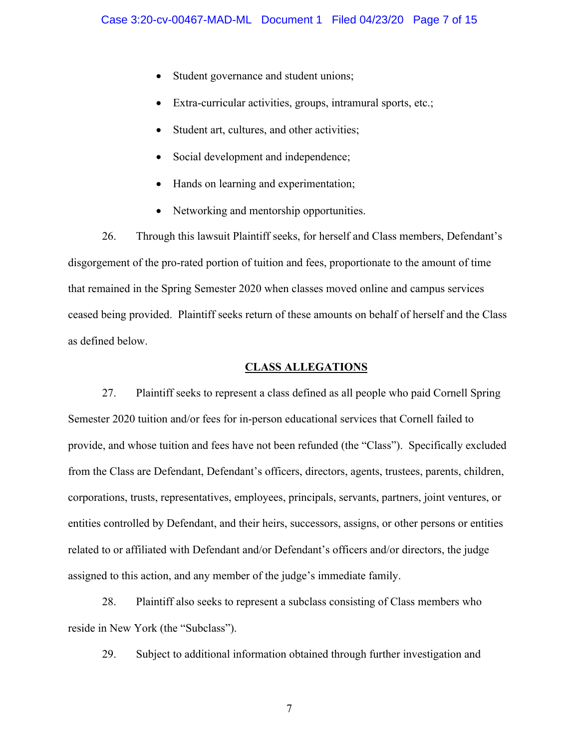- Student governance and student unions;
- Extra-curricular activities, groups, intramural sports, etc.;
- Student art, cultures, and other activities;
- Social development and independence;
- Hands on learning and experimentation;
- Networking and mentorship opportunities.

26. Through this lawsuit Plaintiff seeks, for herself and Class members, Defendant's disgorgement of the pro-rated portion of tuition and fees, proportionate to the amount of time that remained in the Spring Semester 2020 when classes moved online and campus services ceased being provided. Plaintiff seeks return of these amounts on behalf of herself and the Class as defined below.

## **CLASS ALLEGATIONS**

27. Plaintiff seeks to represent a class defined as all people who paid Cornell Spring Semester 2020 tuition and/or fees for in-person educational services that Cornell failed to provide, and whose tuition and fees have not been refunded (the "Class"). Specifically excluded from the Class are Defendant, Defendant's officers, directors, agents, trustees, parents, children, corporations, trusts, representatives, employees, principals, servants, partners, joint ventures, or entities controlled by Defendant, and their heirs, successors, assigns, or other persons or entities related to or affiliated with Defendant and/or Defendant's officers and/or directors, the judge assigned to this action, and any member of the judge's immediate family.

28. Plaintiff also seeks to represent a subclass consisting of Class members who reside in New York (the "Subclass").

29. Subject to additional information obtained through further investigation and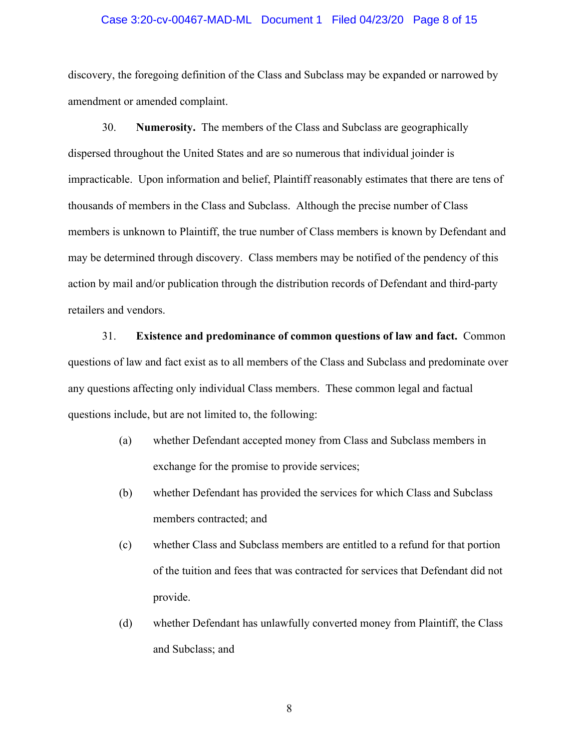## Case 3:20-cv-00467-MAD-ML Document 1 Filed 04/23/20 Page 8 of 15

discovery, the foregoing definition of the Class and Subclass may be expanded or narrowed by amendment or amended complaint.

30. **Numerosity.** The members of the Class and Subclass are geographically dispersed throughout the United States and are so numerous that individual joinder is impracticable. Upon information and belief, Plaintiff reasonably estimates that there are tens of thousands of members in the Class and Subclass. Although the precise number of Class members is unknown to Plaintiff, the true number of Class members is known by Defendant and may be determined through discovery. Class members may be notified of the pendency of this action by mail and/or publication through the distribution records of Defendant and third-party retailers and vendors.

31. **Existence and predominance of common questions of law and fact.** Common questions of law and fact exist as to all members of the Class and Subclass and predominate over any questions affecting only individual Class members. These common legal and factual questions include, but are not limited to, the following:

- (a) whether Defendant accepted money from Class and Subclass members in exchange for the promise to provide services;
- (b) whether Defendant has provided the services for which Class and Subclass members contracted; and
- (c) whether Class and Subclass members are entitled to a refund for that portion of the tuition and fees that was contracted for services that Defendant did not provide.
- (d) whether Defendant has unlawfully converted money from Plaintiff, the Class and Subclass; and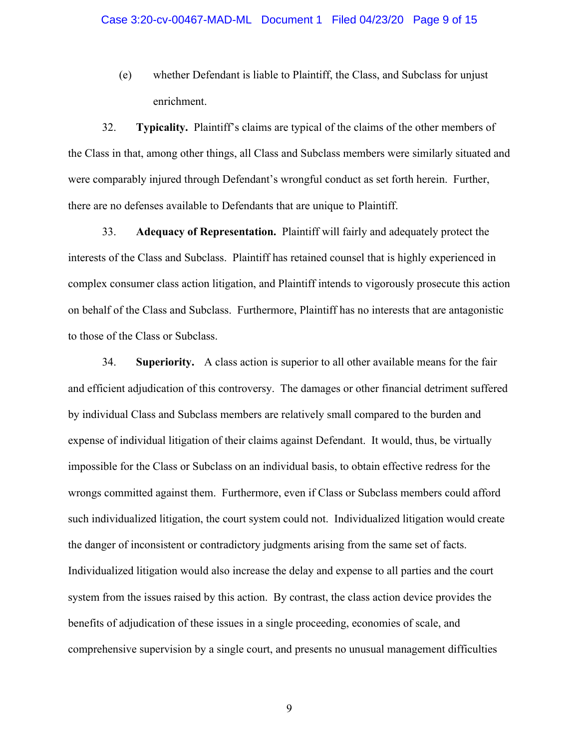(e) whether Defendant is liable to Plaintiff, the Class, and Subclass for unjust enrichment.

32. **Typicality.** Plaintiff's claims are typical of the claims of the other members of the Class in that, among other things, all Class and Subclass members were similarly situated and were comparably injured through Defendant's wrongful conduct as set forth herein. Further, there are no defenses available to Defendants that are unique to Plaintiff.

33. **Adequacy of Representation.** Plaintiff will fairly and adequately protect the interests of the Class and Subclass. Plaintiff has retained counsel that is highly experienced in complex consumer class action litigation, and Plaintiff intends to vigorously prosecute this action on behalf of the Class and Subclass. Furthermore, Plaintiff has no interests that are antagonistic to those of the Class or Subclass.

34. **Superiority.** A class action is superior to all other available means for the fair and efficient adjudication of this controversy. The damages or other financial detriment suffered by individual Class and Subclass members are relatively small compared to the burden and expense of individual litigation of their claims against Defendant. It would, thus, be virtually impossible for the Class or Subclass on an individual basis, to obtain effective redress for the wrongs committed against them. Furthermore, even if Class or Subclass members could afford such individualized litigation, the court system could not. Individualized litigation would create the danger of inconsistent or contradictory judgments arising from the same set of facts. Individualized litigation would also increase the delay and expense to all parties and the court system from the issues raised by this action. By contrast, the class action device provides the benefits of adjudication of these issues in a single proceeding, economies of scale, and comprehensive supervision by a single court, and presents no unusual management difficulties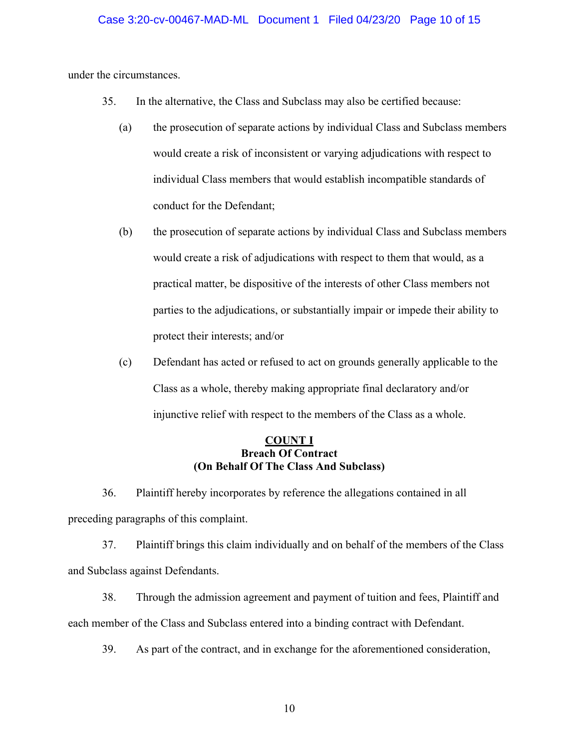under the circumstances.

- 35. In the alternative, the Class and Subclass may also be certified because:
	- (a) the prosecution of separate actions by individual Class and Subclass members would create a risk of inconsistent or varying adjudications with respect to individual Class members that would establish incompatible standards of conduct for the Defendant;
	- (b) the prosecution of separate actions by individual Class and Subclass members would create a risk of adjudications with respect to them that would, as a practical matter, be dispositive of the interests of other Class members not parties to the adjudications, or substantially impair or impede their ability to protect their interests; and/or
	- (c) Defendant has acted or refused to act on grounds generally applicable to the Class as a whole, thereby making appropriate final declaratory and/or injunctive relief with respect to the members of the Class as a whole.

## **COUNT I Breach Of Contract (On Behalf Of The Class And Subclass)**

36. Plaintiff hereby incorporates by reference the allegations contained in all preceding paragraphs of this complaint.

37. Plaintiff brings this claim individually and on behalf of the members of the Class and Subclass against Defendants.

38. Through the admission agreement and payment of tuition and fees, Plaintiff and each member of the Class and Subclass entered into a binding contract with Defendant.

39. As part of the contract, and in exchange for the aforementioned consideration,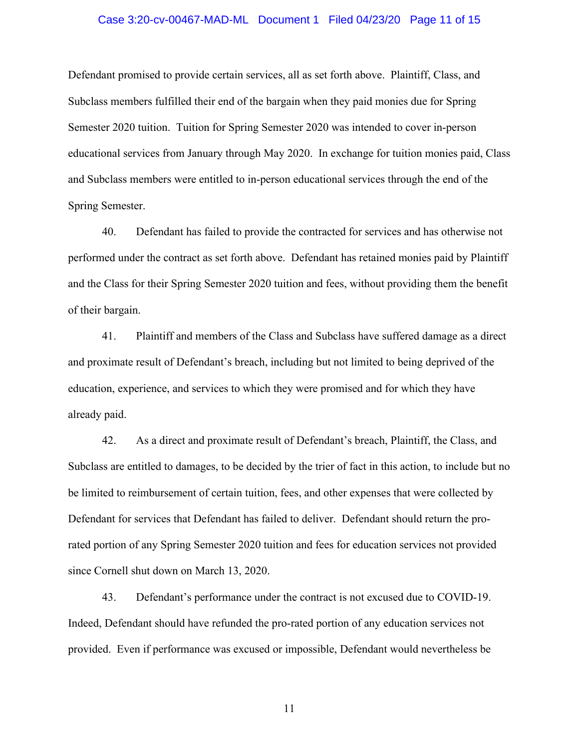## Case 3:20-cv-00467-MAD-ML Document 1 Filed 04/23/20 Page 11 of 15

Defendant promised to provide certain services, all as set forth above. Plaintiff, Class, and Subclass members fulfilled their end of the bargain when they paid monies due for Spring Semester 2020 tuition. Tuition for Spring Semester 2020 was intended to cover in-person educational services from January through May 2020. In exchange for tuition monies paid, Class and Subclass members were entitled to in-person educational services through the end of the Spring Semester.

40. Defendant has failed to provide the contracted for services and has otherwise not performed under the contract as set forth above. Defendant has retained monies paid by Plaintiff and the Class for their Spring Semester 2020 tuition and fees, without providing them the benefit of their bargain.

41. Plaintiff and members of the Class and Subclass have suffered damage as a direct and proximate result of Defendant's breach, including but not limited to being deprived of the education, experience, and services to which they were promised and for which they have already paid.

42. As a direct and proximate result of Defendant's breach, Plaintiff, the Class, and Subclass are entitled to damages, to be decided by the trier of fact in this action, to include but no be limited to reimbursement of certain tuition, fees, and other expenses that were collected by Defendant for services that Defendant has failed to deliver. Defendant should return the prorated portion of any Spring Semester 2020 tuition and fees for education services not provided since Cornell shut down on March 13, 2020.

43. Defendant's performance under the contract is not excused due to COVID-19. Indeed, Defendant should have refunded the pro-rated portion of any education services not provided. Even if performance was excused or impossible, Defendant would nevertheless be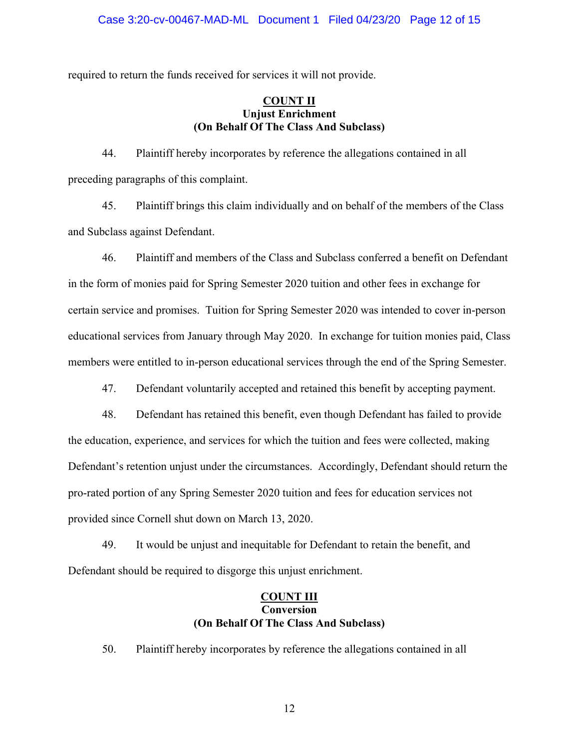required to return the funds received for services it will not provide.

## **COUNT II Unjust Enrichment (On Behalf Of The Class And Subclass)**

44. Plaintiff hereby incorporates by reference the allegations contained in all preceding paragraphs of this complaint.

45. Plaintiff brings this claim individually and on behalf of the members of the Class and Subclass against Defendant.

46. Plaintiff and members of the Class and Subclass conferred a benefit on Defendant in the form of monies paid for Spring Semester 2020 tuition and other fees in exchange for certain service and promises. Tuition for Spring Semester 2020 was intended to cover in-person educational services from January through May 2020. In exchange for tuition monies paid, Class members were entitled to in-person educational services through the end of the Spring Semester.

47. Defendant voluntarily accepted and retained this benefit by accepting payment.

48. Defendant has retained this benefit, even though Defendant has failed to provide the education, experience, and services for which the tuition and fees were collected, making Defendant's retention unjust under the circumstances. Accordingly, Defendant should return the pro-rated portion of any Spring Semester 2020 tuition and fees for education services not provided since Cornell shut down on March 13, 2020.

49. It would be unjust and inequitable for Defendant to retain the benefit, and Defendant should be required to disgorge this unjust enrichment.

# **COUNT III Conversion (On Behalf Of The Class And Subclass)**

50. Plaintiff hereby incorporates by reference the allegations contained in all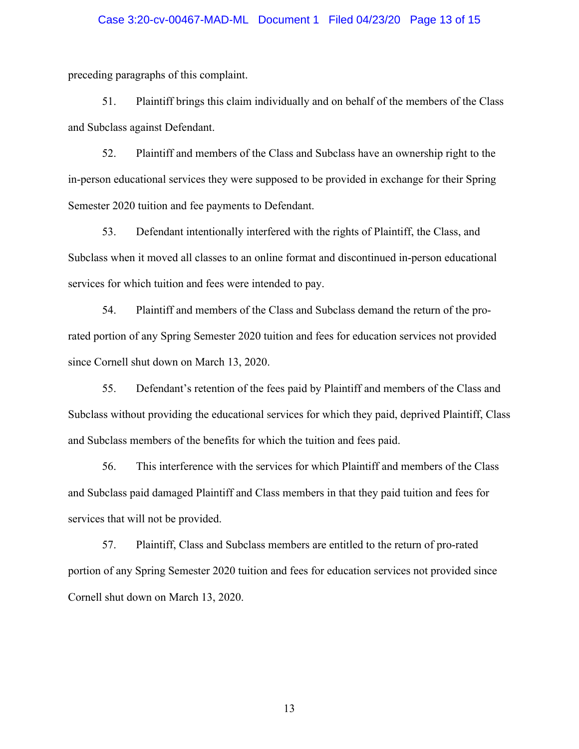## Case 3:20-cv-00467-MAD-ML Document 1 Filed 04/23/20 Page 13 of 15

preceding paragraphs of this complaint.

51. Plaintiff brings this claim individually and on behalf of the members of the Class and Subclass against Defendant.

52. Plaintiff and members of the Class and Subclass have an ownership right to the in-person educational services they were supposed to be provided in exchange for their Spring Semester 2020 tuition and fee payments to Defendant.

53. Defendant intentionally interfered with the rights of Plaintiff, the Class, and Subclass when it moved all classes to an online format and discontinued in-person educational services for which tuition and fees were intended to pay.

54. Plaintiff and members of the Class and Subclass demand the return of the prorated portion of any Spring Semester 2020 tuition and fees for education services not provided since Cornell shut down on March 13, 2020.

55. Defendant's retention of the fees paid by Plaintiff and members of the Class and Subclass without providing the educational services for which they paid, deprived Plaintiff, Class and Subclass members of the benefits for which the tuition and fees paid.

56. This interference with the services for which Plaintiff and members of the Class and Subclass paid damaged Plaintiff and Class members in that they paid tuition and fees for services that will not be provided.

57. Plaintiff, Class and Subclass members are entitled to the return of pro-rated portion of any Spring Semester 2020 tuition and fees for education services not provided since Cornell shut down on March 13, 2020.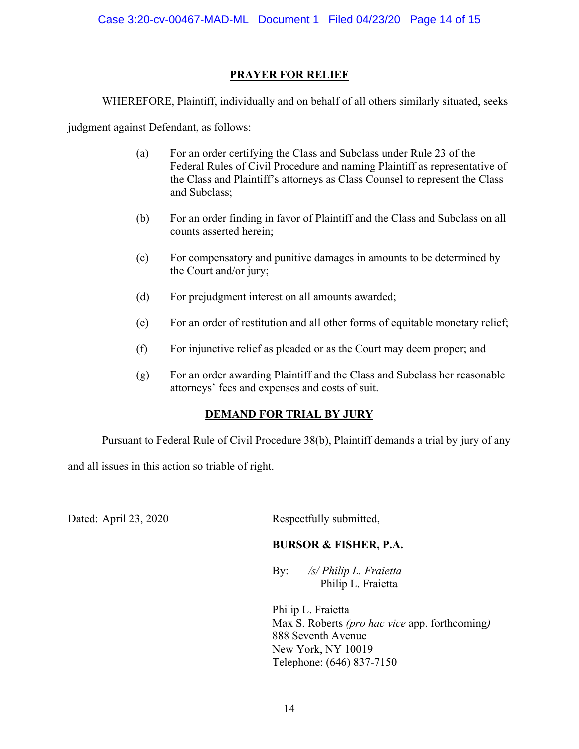# **PRAYER FOR RELIEF**

WHEREFORE, Plaintiff, individually and on behalf of all others similarly situated, seeks

judgment against Defendant, as follows:

- (a) For an order certifying the Class and Subclass under Rule 23 of the Federal Rules of Civil Procedure and naming Plaintiff as representative of the Class and Plaintiff's attorneys as Class Counsel to represent the Class and Subclass;
- (b) For an order finding in favor of Plaintiff and the Class and Subclass on all counts asserted herein;
- (c) For compensatory and punitive damages in amounts to be determined by the Court and/or jury;
- (d) For prejudgment interest on all amounts awarded;
- (e) For an order of restitution and all other forms of equitable monetary relief;
- (f) For injunctive relief as pleaded or as the Court may deem proper; and
- (g) For an order awarding Plaintiff and the Class and Subclass her reasonable attorneys' fees and expenses and costs of suit.

# **DEMAND FOR TRIAL BY JURY**

Pursuant to Federal Rule of Civil Procedure 38(b), Plaintiff demands a trial by jury of any

and all issues in this action so triable of right.

Dated: April 23, 2020 Respectfully submitted,

# **BURSOR & FISHER, P.A.**

By: */s/ Philip L. Fraietta* Philip L. Fraietta

Philip L. Fraietta Max S. Roberts *(pro hac vice* app. forthcoming*)* 888 Seventh Avenue New York, NY 10019 Telephone: (646) 837-7150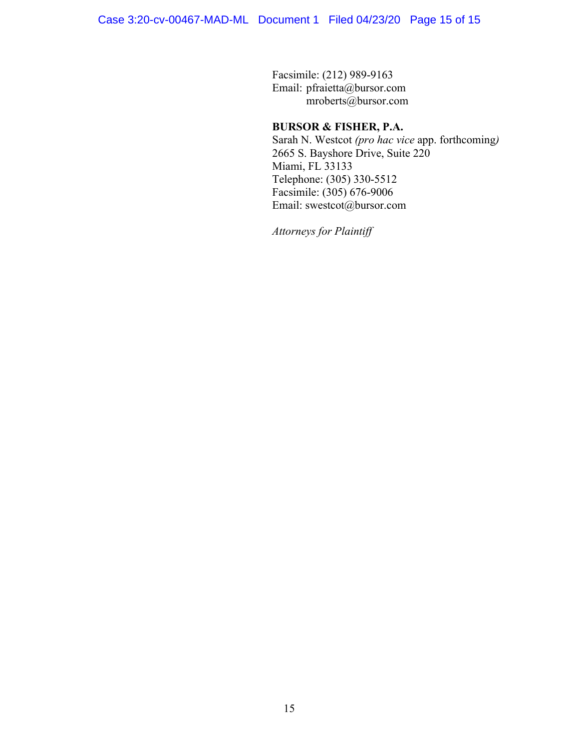Facsimile: (212) 989-9163 Email: pfraietta@bursor.com mroberts@bursor.com

# **BURSOR & FISHER, P.A.**

Sarah N. Westcot *(pro hac vice* app. forthcoming*)* 2665 S. Bayshore Drive, Suite 220 Miami, FL 33133 Telephone: (305) 330-5512 Facsimile: (305) 676-9006 Email: swestcot@bursor.com

*Attorneys for Plaintiff*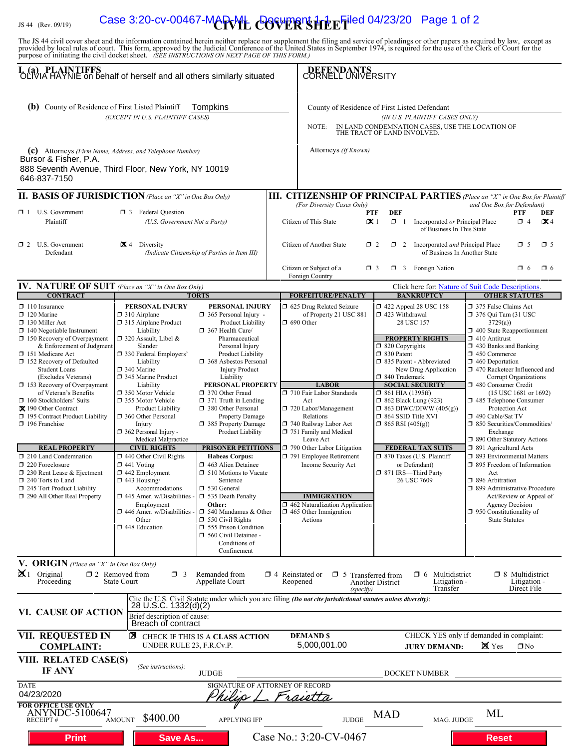# IS 44 (Rev. 09/19) **Case 3:20-cv-00467-MARVIL COVER'SHE E<sup>Filed</sup> 04/23/20 Page 1 of 2**

The JS 44 civil cover sheet and the information contained herein neither replace nor supplement the filing and service of pleadings or other papers as required by law, except as provided by local rules of court. This form,

| I. (a) PLAINTIFFS<br>OLIVIA HAYNIE on behalf of herself and all others similarly situated                                                                                                                                                                                                                                                                                                                                                                                                                                                                                                                                                        |                                                                                                                                                                                                                                                                                                                                                                                                                                                                                                                                                                                                  |                                                                                                                                                                                                                                                                                                                                                                                                                                                                                                                                                                                              |                                                                                                                                                                                                                                                                                                                                                                                                            | DEFENDANTS<br>CORNELL UNIVERSITY                                                                                                                                                                                                                                                                                                                                                                                                                                                                      |                                                                                                                                                                                                                                                                                                                                                                                                                                                                                                                                                                                                                                                                                                                                           |  |
|--------------------------------------------------------------------------------------------------------------------------------------------------------------------------------------------------------------------------------------------------------------------------------------------------------------------------------------------------------------------------------------------------------------------------------------------------------------------------------------------------------------------------------------------------------------------------------------------------------------------------------------------------|--------------------------------------------------------------------------------------------------------------------------------------------------------------------------------------------------------------------------------------------------------------------------------------------------------------------------------------------------------------------------------------------------------------------------------------------------------------------------------------------------------------------------------------------------------------------------------------------------|----------------------------------------------------------------------------------------------------------------------------------------------------------------------------------------------------------------------------------------------------------------------------------------------------------------------------------------------------------------------------------------------------------------------------------------------------------------------------------------------------------------------------------------------------------------------------------------------|------------------------------------------------------------------------------------------------------------------------------------------------------------------------------------------------------------------------------------------------------------------------------------------------------------------------------------------------------------------------------------------------------------|-------------------------------------------------------------------------------------------------------------------------------------------------------------------------------------------------------------------------------------------------------------------------------------------------------------------------------------------------------------------------------------------------------------------------------------------------------------------------------------------------------|-------------------------------------------------------------------------------------------------------------------------------------------------------------------------------------------------------------------------------------------------------------------------------------------------------------------------------------------------------------------------------------------------------------------------------------------------------------------------------------------------------------------------------------------------------------------------------------------------------------------------------------------------------------------------------------------------------------------------------------------|--|
| (b) County of Residence of First Listed Plaintiff<br>Tompkins<br>(EXCEPT IN U.S. PLAINTIFF CASES)                                                                                                                                                                                                                                                                                                                                                                                                                                                                                                                                                |                                                                                                                                                                                                                                                                                                                                                                                                                                                                                                                                                                                                  |                                                                                                                                                                                                                                                                                                                                                                                                                                                                                                                                                                                              | County of Residence of First Listed Defendant<br>(IN U.S. PLAINTIFF CASES ONLY)<br>IN LAND CONDEMNATION CASES, USE THE LOCATION OF THE TRACT OF LAND INVOLVED.<br>NOTE:                                                                                                                                                                                                                                    |                                                                                                                                                                                                                                                                                                                                                                                                                                                                                                       |                                                                                                                                                                                                                                                                                                                                                                                                                                                                                                                                                                                                                                                                                                                                           |  |
| (c) Attorneys (Firm Name, Address, and Telephone Number)<br>Bursor & Fisher, P.A.<br>888 Seventh Avenue, Third Floor, New York, NY 10019<br>646-837-7150                                                                                                                                                                                                                                                                                                                                                                                                                                                                                         |                                                                                                                                                                                                                                                                                                                                                                                                                                                                                                                                                                                                  |                                                                                                                                                                                                                                                                                                                                                                                                                                                                                                                                                                                              | Attorneys (If Known)                                                                                                                                                                                                                                                                                                                                                                                       |                                                                                                                                                                                                                                                                                                                                                                                                                                                                                                       |                                                                                                                                                                                                                                                                                                                                                                                                                                                                                                                                                                                                                                                                                                                                           |  |
| <b>II. BASIS OF JURISDICTION</b> (Place an "X" in One Box Only)                                                                                                                                                                                                                                                                                                                                                                                                                                                                                                                                                                                  |                                                                                                                                                                                                                                                                                                                                                                                                                                                                                                                                                                                                  |                                                                                                                                                                                                                                                                                                                                                                                                                                                                                                                                                                                              | III. CITIZENSHIP OF PRINCIPAL PARTIES (Place an "X" in One Box for Plaintiff                                                                                                                                                                                                                                                                                                                               |                                                                                                                                                                                                                                                                                                                                                                                                                                                                                                       |                                                                                                                                                                                                                                                                                                                                                                                                                                                                                                                                                                                                                                                                                                                                           |  |
| $\Box$ 1 U.S. Government<br>Plaintiff                                                                                                                                                                                                                                                                                                                                                                                                                                                                                                                                                                                                            | <b>3</b> Federal Question<br>(U.S. Government Not a Party)                                                                                                                                                                                                                                                                                                                                                                                                                                                                                                                                       |                                                                                                                                                                                                                                                                                                                                                                                                                                                                                                                                                                                              | (For Diversity Cases Only)<br>Citizen of This State                                                                                                                                                                                                                                                                                                                                                        | <b>PTF</b><br><b>DEF</b><br>$\mathbf{X}$ 1<br>$\Box$ 1<br>Incorporated or Principal Place<br>of Business In This State                                                                                                                                                                                                                                                                                                                                                                                | and One Box for Defendant)<br>PTF<br>DEF<br>$\Box$ 4<br>$\mathbf{X}$ 4                                                                                                                                                                                                                                                                                                                                                                                                                                                                                                                                                                                                                                                                    |  |
| $\Box$ 2 U.S. Government<br>Defendant                                                                                                                                                                                                                                                                                                                                                                                                                                                                                                                                                                                                            | $\mathbf{X}$ 4 Diversity                                                                                                                                                                                                                                                                                                                                                                                                                                                                                                                                                                         | (Indicate Citizenship of Parties in Item III)                                                                                                                                                                                                                                                                                                                                                                                                                                                                                                                                                | Citizen of Another State<br>Citizen or Subject of a                                                                                                                                                                                                                                                                                                                                                        | 2 Incorporated <i>and</i> Principal Place<br>$\Box$ 2<br>α.<br>of Business In Another State<br><b>3</b> Foreign Nation<br>$\Box$ 3                                                                                                                                                                                                                                                                                                                                                                    | $\square$ 5<br>$\Box$ 5<br>$\Box$ 6<br>$\Box$ 6                                                                                                                                                                                                                                                                                                                                                                                                                                                                                                                                                                                                                                                                                           |  |
|                                                                                                                                                                                                                                                                                                                                                                                                                                                                                                                                                                                                                                                  |                                                                                                                                                                                                                                                                                                                                                                                                                                                                                                                                                                                                  |                                                                                                                                                                                                                                                                                                                                                                                                                                                                                                                                                                                              | Foreign Country                                                                                                                                                                                                                                                                                                                                                                                            |                                                                                                                                                                                                                                                                                                                                                                                                                                                                                                       |                                                                                                                                                                                                                                                                                                                                                                                                                                                                                                                                                                                                                                                                                                                                           |  |
| IV. NATURE OF SUIT (Place an "X" in One Box Only)<br><b>CONTRACT</b>                                                                                                                                                                                                                                                                                                                                                                                                                                                                                                                                                                             |                                                                                                                                                                                                                                                                                                                                                                                                                                                                                                                                                                                                  | <b>TORTS</b>                                                                                                                                                                                                                                                                                                                                                                                                                                                                                                                                                                                 | <b>FORFEITURE/PENALTY</b>                                                                                                                                                                                                                                                                                                                                                                                  | <b>BANKRUPTCY</b>                                                                                                                                                                                                                                                                                                                                                                                                                                                                                     | Click here for: Nature of Suit Code Descriptions.<br><b>OTHER STATUTES</b>                                                                                                                                                                                                                                                                                                                                                                                                                                                                                                                                                                                                                                                                |  |
| $\Box$ 110 Insurance<br>$\Box$ 120 Marine<br>$\Box$ 130 Miller Act<br>$\Box$ 140 Negotiable Instrument<br>$\Box$ 150 Recovery of Overpayment<br>& Enforcement of Judgment<br>151 Medicare Act<br>152 Recovery of Defaulted<br><b>Student Loans</b><br>(Excludes Veterans)<br>153 Recovery of Overpayment<br>of Veteran's Benefits<br>160 Stockholders' Suits<br>X 190 Other Contract<br>195 Contract Product Liability<br>$\Box$ 196 Franchise<br><b>REAL PROPERTY</b><br>210 Land Condemnation<br>220 Foreclosure<br>$\Box$ 230 Rent Lease & Ejectment<br>$\Box$ 240 Torts to Land<br>245 Tort Product Liability<br>290 All Other Real Property | PERSONAL INJURY<br>$\Box$ 310 Airplane<br>315 Airplane Product<br>Liability<br>□ 320 Assault, Libel &<br>Slander<br>□ 330 Federal Employers'<br>Liability<br>□ 340 Marine<br>345 Marine Product<br>Liability<br>350 Motor Vehicle<br>355 Motor Vehicle<br>Product Liability<br>360 Other Personal<br>Injury<br>$\Box$ 362 Personal Injury -<br>Medical Malpractice<br><b>CIVIL RIGHTS</b><br>$\Box$ 440 Other Civil Rights<br>$\Box$ 441 Voting<br>442 Employment<br>$\Box$ 443 Housing/<br>Accommodations<br>$\Box$ 445 Amer. w/Disabilities<br>Employment<br>446 Amer. w/Disabilities<br>Other | PERSONAL INJURY<br>$\Box$ 365 Personal Injury -<br>Product Liability<br>367 Health Care/<br>Pharmaceutical<br>Personal Injury<br>Product Liability<br>□ 368 Asbestos Personal<br><b>Injury Product</b><br>Liability<br>PERSONAL PROPERTY<br>□ 370 Other Fraud<br>$\Box$ 371 Truth in Lending<br>380 Other Personal<br><b>Property Damage</b><br>385 Property Damage<br>Product Liability<br><b>PRISONER PETITIONS</b><br><b>Habeas Corpus:</b><br>□ 463 Alien Detainee<br>$\Box$ 510 Motions to Vacate<br>Sentence<br>□ 530 General<br>535 Death Penalty<br>Other:<br>□ 540 Mandamus & Other | 5 625 Drug Related Seizure<br>of Property 21 USC 881<br>$\Box$ 690 Other<br><b>LABOR</b><br>710 Fair Labor Standards<br>Act<br>720 Labor/Management<br>Relations<br>740 Railway Labor Act<br>751 Family and Medical<br>Leave Act<br>790 Other Labor Litigation<br>791 Employee Retirement<br>Income Security Act<br><b>IMMIGRATION</b><br>□ 462 Naturalization Application<br>$\Box$ 465 Other Immigration | 158 422 Appeal 28 USC 158<br>$\Box$ 423 Withdrawal<br>28 USC 157<br><b>PROPERTY RIGHTS</b><br>□ 820 Copyrights<br>□ 830 Patent<br>□ 835 Patent - Abbreviated<br>New Drug Application<br>□ 840 Trademark<br><b>SOCIAL SECURITY</b><br>$\Box$ 861 HIA (1395ff)<br><b>1 862 Black Lung (923)</b><br>$\Box$ 863 DIWC/DIWW (405(g))<br>□ 864 SSID Title XVI<br>$\Box$ 865 RSI (405(g))<br><b>FEDERAL TAX SUITS</b><br>□ 870 Taxes (U.S. Plaintiff<br>or Defendant)<br>□ 871 IRS-Third Party<br>26 USC 7609 | 375 False Claims Act<br>$\Box$ 376 Qui Tam (31 USC<br>3729(a)<br>1 400 State Reapportionment<br>$\Box$ 410 Antitrust<br>$\Box$ 430 Banks and Banking<br>$\Box$ 450 Commerce<br>$\Box$ 460 Deportation<br>1 470 Racketeer Influenced and<br>Corrupt Organizations<br>480 Consumer Credit<br>(15 USC 1681 or 1692)<br>485 Telephone Consumer<br>Protection Act<br>□ 490 Cable/Sat TV<br>□ 850 Securities/Commodities/<br>Exchange<br>□ 890 Other Statutory Actions<br>□ 891 Agricultural Acts<br>□ 893 Environmental Matters<br>□ 895 Freedom of Information<br>Act<br>□ 896 Arbitration<br>□ 899 Administrative Procedure<br>Act/Review or Appeal of<br><b>Agency Decision</b><br>$\Box$ 950 Constitutionality of<br><b>State Statutes</b> |  |
|                                                                                                                                                                                                                                                                                                                                                                                                                                                                                                                                                                                                                                                  | 448 Education                                                                                                                                                                                                                                                                                                                                                                                                                                                                                                                                                                                    | $\Box$ 550 Civil Rights<br>555 Prison Condition<br>560 Civil Detainee -<br>Conditions of<br>Confinement                                                                                                                                                                                                                                                                                                                                                                                                                                                                                      | Actions                                                                                                                                                                                                                                                                                                                                                                                                    |                                                                                                                                                                                                                                                                                                                                                                                                                                                                                                       |                                                                                                                                                                                                                                                                                                                                                                                                                                                                                                                                                                                                                                                                                                                                           |  |
| V. ORIGIN (Place an "X" in One Box Only)<br>$\mathbf{X}$ 1 Original<br>Proceeding                                                                                                                                                                                                                                                                                                                                                                                                                                                                                                                                                                | $\Box$ 2 Removed from<br>$\Box$ 3<br><b>State Court</b>                                                                                                                                                                                                                                                                                                                                                                                                                                                                                                                                          | Remanded from<br>Appellate Court                                                                                                                                                                                                                                                                                                                                                                                                                                                                                                                                                             | $\Box$ 4 Reinstated or<br>$\square$ 5<br>Reopened<br>(specify)                                                                                                                                                                                                                                                                                                                                             | Multidistrict<br>$\Box$ 6<br>Transferred from<br>Litigation -<br><b>Another District</b><br>Transfer                                                                                                                                                                                                                                                                                                                                                                                                  | $\Box$ 8 Multidistrict<br>Litigation -<br>Direct File                                                                                                                                                                                                                                                                                                                                                                                                                                                                                                                                                                                                                                                                                     |  |
| VI. CAUSE OF ACTION                                                                                                                                                                                                                                                                                                                                                                                                                                                                                                                                                                                                                              | 28 U.S.C. 1332(d)(2)<br>Brief description of cause:<br>Breach of contract                                                                                                                                                                                                                                                                                                                                                                                                                                                                                                                        |                                                                                                                                                                                                                                                                                                                                                                                                                                                                                                                                                                                              | Cite the U.S. Civil Statute under which you are filing (Do not cite jurisdictional statutes unless diversity):                                                                                                                                                                                                                                                                                             |                                                                                                                                                                                                                                                                                                                                                                                                                                                                                                       |                                                                                                                                                                                                                                                                                                                                                                                                                                                                                                                                                                                                                                                                                                                                           |  |
| <b>VII. REQUESTED IN</b><br><b>COMPLAINT:</b>                                                                                                                                                                                                                                                                                                                                                                                                                                                                                                                                                                                                    | 图<br>UNDER RULE 23, F.R.Cv.P.                                                                                                                                                                                                                                                                                                                                                                                                                                                                                                                                                                    | CHECK IF THIS IS A CLASS ACTION                                                                                                                                                                                                                                                                                                                                                                                                                                                                                                                                                              | <b>DEMAND \$</b><br>5,000,001.00                                                                                                                                                                                                                                                                                                                                                                           | <b>JURY DEMAND:</b>                                                                                                                                                                                                                                                                                                                                                                                                                                                                                   | CHECK YES only if demanded in complaint:<br>X Yes<br>$\Box$ No                                                                                                                                                                                                                                                                                                                                                                                                                                                                                                                                                                                                                                                                            |  |
| VIII. RELATED CASE(S)<br><b>IF ANY</b>                                                                                                                                                                                                                                                                                                                                                                                                                                                                                                                                                                                                           | (See instructions):                                                                                                                                                                                                                                                                                                                                                                                                                                                                                                                                                                              | <b>JUDGE</b>                                                                                                                                                                                                                                                                                                                                                                                                                                                                                                                                                                                 |                                                                                                                                                                                                                                                                                                                                                                                                            | DOCKET NUMBER                                                                                                                                                                                                                                                                                                                                                                                                                                                                                         |                                                                                                                                                                                                                                                                                                                                                                                                                                                                                                                                                                                                                                                                                                                                           |  |
| <b>DATE</b><br>04/23/2020                                                                                                                                                                                                                                                                                                                                                                                                                                                                                                                                                                                                                        |                                                                                                                                                                                                                                                                                                                                                                                                                                                                                                                                                                                                  |                                                                                                                                                                                                                                                                                                                                                                                                                                                                                                                                                                                              | SIGNATURE OF ATTORNEY OF RECORD                                                                                                                                                                                                                                                                                                                                                                            |                                                                                                                                                                                                                                                                                                                                                                                                                                                                                                       |                                                                                                                                                                                                                                                                                                                                                                                                                                                                                                                                                                                                                                                                                                                                           |  |
| <b>FOR OFFICE USE ONLY</b><br>ANYNDC-5100647<br><b>RECEIPT#</b>                                                                                                                                                                                                                                                                                                                                                                                                                                                                                                                                                                                  | \$400.00<br><b>AMOUNT</b>                                                                                                                                                                                                                                                                                                                                                                                                                                                                                                                                                                        | <b>APPLYING IFP</b>                                                                                                                                                                                                                                                                                                                                                                                                                                                                                                                                                                          | <b>JUDGE</b>                                                                                                                                                                                                                                                                                                                                                                                               | <b>MAD</b><br>MAG. JUDGE                                                                                                                                                                                                                                                                                                                                                                                                                                                                              | ML                                                                                                                                                                                                                                                                                                                                                                                                                                                                                                                                                                                                                                                                                                                                        |  |
| <b>Print</b>                                                                                                                                                                                                                                                                                                                                                                                                                                                                                                                                                                                                                                     | <b>Save As</b>                                                                                                                                                                                                                                                                                                                                                                                                                                                                                                                                                                                   |                                                                                                                                                                                                                                                                                                                                                                                                                                                                                                                                                                                              | Case No.: 3:20-CV-0467                                                                                                                                                                                                                                                                                                                                                                                     |                                                                                                                                                                                                                                                                                                                                                                                                                                                                                                       | <b>Reset</b>                                                                                                                                                                                                                                                                                                                                                                                                                                                                                                                                                                                                                                                                                                                              |  |